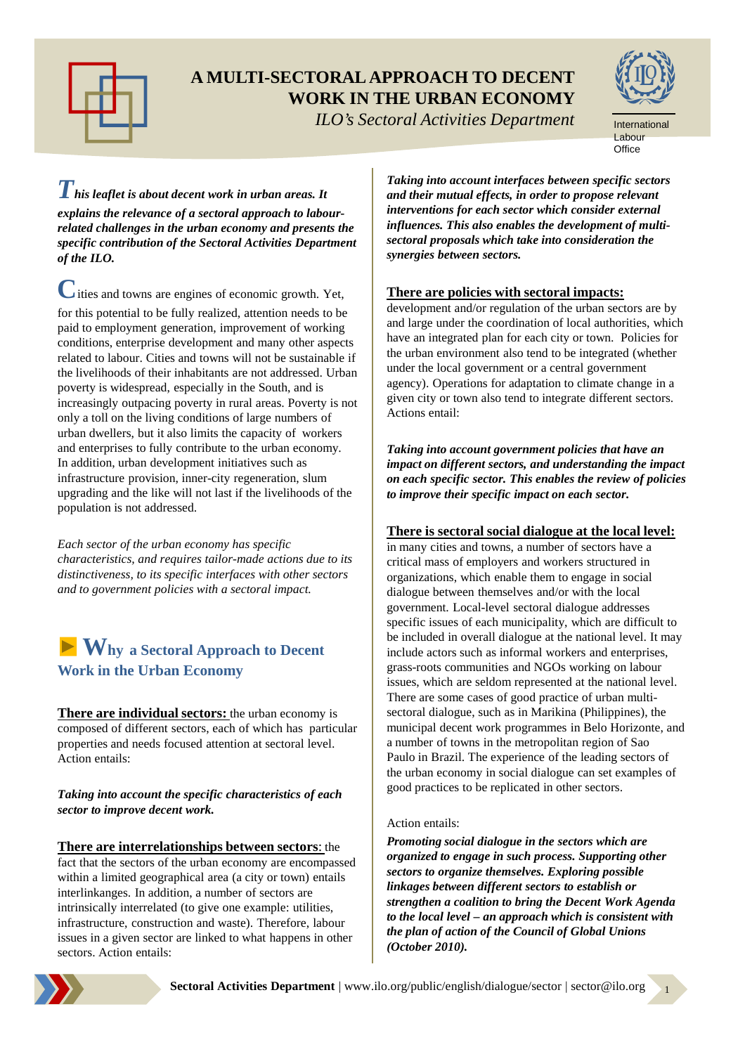

### **A MULTI-SECTORAL APPROACH TO DECENT WORK IN THE URBAN ECONOMY**

ILO

*ILO's Sectoral Activities Department*



*This leaflet is about decent work in urban areas. It explains the relevance of a sectoral approach to labourrelated challenges in the urban economy and presents the specific contribution of the Sectoral Activities Department of the ILO.* 

**C**ities and towns are engines of economic growth. Yet, for this potential to be fully realized, attention needs to be paid to employment generation, improvement of working conditions, enterprise development and many other aspects related to labour. Cities and towns will not be sustainable if the livelihoods of their inhabitants are not addressed. Urban poverty is widespread, especially in the South, and is increasingly outpacing poverty in rural areas. Poverty is not only a toll on the living conditions of large numbers of urban dwellers, but it also limits the capacity of workers and enterprises to fully contribute to the urban economy. In addition, urban development initiatives such as infrastructure provision, inner-city regeneration, slum upgrading and the like will not last if the livelihoods of the population is not addressed.

*Each sector of the urban economy has specific characteristics, and requires tailor-made actions due to its distinctiveness, to its specific interfaces with other sectors and to government policies with a sectoral impact.*

## **Why a Sectoral Approach to Decent Work in the Urban Economy**

**There are individual sectors:** the urban economy is composed of different sectors, each of which has particular properties and needs focused attention at sectoral level. Action entails:

*Taking into account the specific characteristics of each sector to improve decent work.*

### **There are interrelationships between sectors**: the

fact that the sectors of the urban economy are encompassed within a limited geographical area (a city or town) entails interlinkanges. In addition, a number of sectors are intrinsically interrelated (to give one example: utilities, infrastructure, construction and waste). Therefore, labour issues in a given sector are linked to what happens in other sectors. Action entails:

*Taking into account interfaces between specific sectors and their mutual effects, in order to propose relevant interventions for each sector which consider external influences. This also enables the development of multisectoral proposals which take into consideration the synergies between sectors.*

### **There are policies with sectoral impacts:**

development and/or regulation of the urban sectors are by and large under the coordination of local authorities, which have an integrated plan for each city or town. Policies for the urban environment also tend to be integrated (whether under the local government or a central government agency). Operations for adaptation to climate change in a given city or town also tend to integrate different sectors. Actions entail:

*Taking into account government policies that have an impact on different sectors, and understanding the impact on each specific sector. This enables the review of policies to improve their specific impact on each sector.*

### **There is sectoral social dialogue at the local level:**

in many cities and towns, a number of sectors have a critical mass of employers and workers structured in organizations, which enable them to engage in social dialogue between themselves and/or with the local government. Local-level sectoral dialogue addresses specific issues of each municipality, which are difficult to be included in overall dialogue at the national level. It may include actors such as informal workers and enterprises, grass-roots communities and NGOs working on labour issues, which are seldom represented at the national level. There are some cases of good practice of urban multisectoral dialogue, such as in Marikina (Philippines), the municipal decent work programmes in Belo Horizonte, and a number of towns in the metropolitan region of Sao Paulo in Brazil. The experience of the leading sectors of the urban economy in social dialogue can set examples of good practices to be replicated in other sectors.

### Action entails:

*Promoting social dialogue in the sectors which are organized to engage in such process. Supporting other sectors to organize themselves. Exploring possible linkages between different sectors to establish or strengthen a coalition to bring the Decent Work Agenda to the local level – an approach which is consistent with the plan of action of the Council of Global Unions (October 2010).*